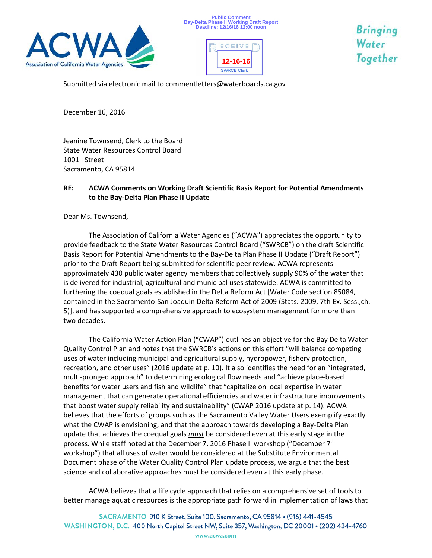





Bringing Water Together

Submitted via electronic mail to commentletters@waterboards.ca.gov

December 16, 2016

Jeanine Townsend, Clerk to the Board State Water Resources Control Board 1001 I Street Sacramento, CA 95814

## **RE: ACWA Comments on Working Draft Scientific Basis Report for Potential Amendments to the Bay-Delta Plan Phase II Update**

Dear Ms. Townsend,

The Association of California Water Agencies ("ACWA") appreciates the opportunity to provide feedback to the State Water Resources Control Board ("SWRCB") on the draft Scientific Basis Report for Potential Amendments to the Bay-Delta Plan Phase II Update ("Draft Report") prior to the Draft Report being submitted for scientific peer review. ACWA represents approximately 430 public water agency members that collectively supply 90% of the water that is delivered for industrial, agricultural and municipal uses statewide. ACWA is committed to furthering the coequal goals established in the Delta Reform Act [Water Code section 85084, contained in the Sacramento-San Joaquin Delta Reform Act of 2009 (Stats. 2009, 7th Ex. Sess.,ch. 5)], and has supported a comprehensive approach to ecosystem management for more than two decades.

The California Water Action Plan ("CWAP") outlines an objective for the Bay Delta Water Quality Control Plan and notes that the SWRCB's actions on this effort "will balance competing uses of water including municipal and agricultural supply, hydropower, fishery protection, recreation, and other uses" (2016 update at p. 10). It also identifies the need for an "integrated, multi-pronged approach" to determining ecological flow needs and "achieve place-based benefits for water users and fish and wildlife" that "capitalize on local expertise in water management that can generate operational efficiencies and water infrastructure improvements that boost water supply reliability and sustainability" (CWAP 2016 update at p. 14). ACWA believes that the efforts of groups such as the Sacramento Valley Water Users exemplify exactly what the CWAP is envisioning, and that the approach towards developing a Bay-Delta Plan update that achieves the coequal goals *must* be considered even at this early stage in the process. While staff noted at the December 7, 2016 Phase II workshop ("December 7<sup>th</sup> workshop") that all uses of water would be considered at the Substitute Environmental Document phase of the Water Quality Control Plan update process, we argue that the best science and collaborative approaches must be considered even at this early phase.

ACWA believes that a life cycle approach that relies on a comprehensive set of tools to better manage aquatic resources is the appropriate path forward in implementation of laws that

SACRAMENTO 910 K Street, Suite 100, Sacramento, CA 95814 • (916) 441-4545 WASHINGTON, D.C. 400 North Capitol Street NW, Suite 357, Washington, DC 20001 • (202) 434-4760